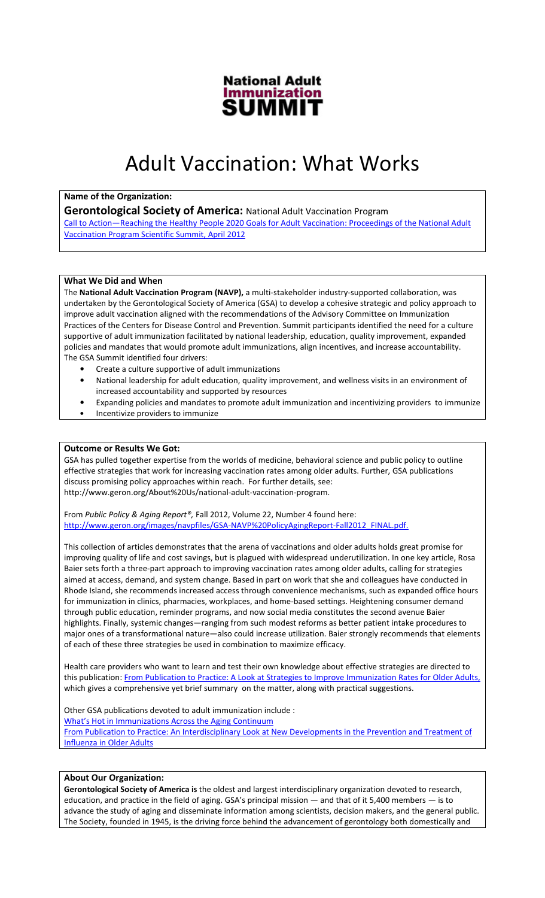

# Adult Vaccination: What Works

## Name of the Organization:

**Gerontological Society of America: National Adult Vaccination Program** 

Call to Action—Reaching the Healthy People 2020 Goals for Adult Vaccination: Proceedings of the National Adult Vaccination Program Scientific Summit, April 2012

## What We Did and When

The National Adult Vaccination Program (NAVP), a multi-stakeholder industry-supported collaboration, was undertaken by the Gerontological Society of America (GSA) to develop a cohesive strategic and policy approach to improve adult vaccination aligned with the recommendations of the Advisory Committee on Immunization Practices of the Centers for Disease Control and Prevention. Summit participants identified the need for a culture supportive of adult immunization facilitated by national leadership, education, quality improvement, expanded policies and mandates that would promote adult immunizations, align incentives, and increase accountability. The GSA Summit identified four drivers:

- Create a culture supportive of adult immunizations
- National leadership for adult education, quality improvement, and wellness visits in an environment of increased accountability and supported by resources
- Expanding policies and mandates to promote adult immunization and incentivizing providers to immunize • Incentivize providers to immunize

#### Outcome or Results We Got:

GSA has pulled together expertise from the worlds of medicine, behavioral science and public policy to outline effective strategies that work for increasing vaccination rates among older adults. Further, GSA publications discuss promising policy approaches within reach. For further details, see: http://www.geron.org/About%20Us/national-adult-vaccination-program.

From Public Policy & Aging Report®, Fall 2012, Volume 22, Number 4 found here: http://www.geron.org/images/navpfiles/GSA-NAVP%20PolicyAgingReport-Fall2012\_FINAL.pdf.

This collection of articles demonstrates that the arena of vaccinations and older adults holds great promise for improving quality of life and cost savings, but is plagued with widespread underutilization. In one key article, Rosa Baier sets forth a three-part approach to improving vaccination rates among older adults, calling for strategies aimed at access, demand, and system change. Based in part on work that she and colleagues have conducted in Rhode Island, she recommends increased access through convenience mechanisms, such as expanded office hours for immunization in clinics, pharmacies, workplaces, and home-based settings. Heightening consumer demand through public education, reminder programs, and now social media constitutes the second avenue Baier highlights. Finally, systemic changes—ranging from such modest reforms as better patient intake procedures to major ones of a transformational nature—also could increase utilization. Baier strongly recommends that elements of each of these three strategies be used in combination to maximize efficacy.

Health care providers who want to learn and test their own knowledge about effective strategies are directed to this publication: From Publication to Practice: A Look at Strategies to Improve Immunization Rates for Older Adults, which gives a comprehensive yet brief summary on the matter, along with practical suggestions.

Other GSA publications devoted to adult immunization include : What's Hot in Immunizations Across the Aging Continuum From Publication to Practice: An Interdisciplinary Look at New Developments in the Prevention and Treatment of Influenza in Older Adults

### About Our Organization:

Gerontological Society of America is the oldest and largest interdisciplinary organization devoted to research, education, and practice in the field of aging. GSA's principal mission — and that of it 5,400 members — is to advance the study of aging and disseminate information among scientists, decision makers, and the general public. The Society, founded in 1945, is the driving force behind the advancement of gerontology both domestically and